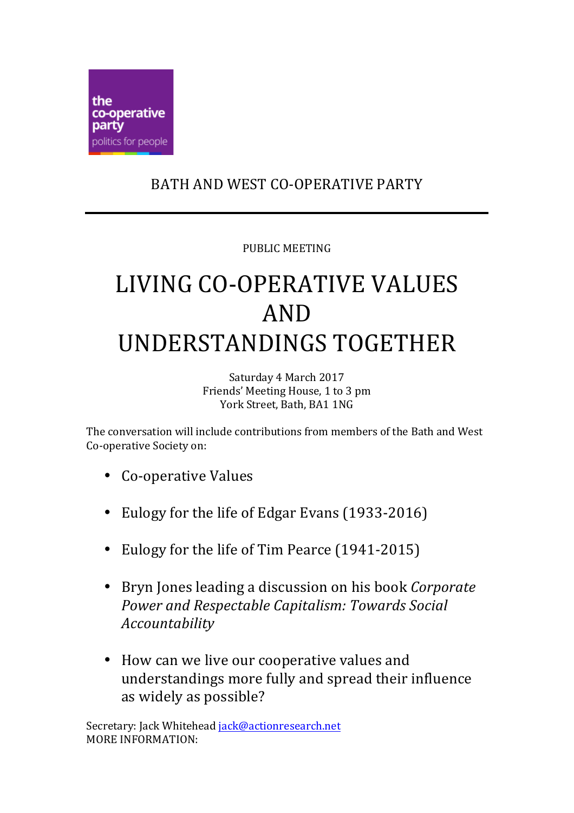

## BATH AND WEST CO-OPERATIVE PARTY

## PUBLIC MEETING

## LIVING CO-OPERATIVE VALUES AND UNDERSTANDINGS TOGETHER

Saturday 4 March 2017 Friends' Meeting House, 1 to 3 pm York Street, Bath, BA1 1NG

The conversation will include contributions from members of the Bath and West Co-operative Society on:

- Co-operative Values
- Eulogy for the life of Edgar Evans (1933-2016)
- Eulogy for the life of Tim Pearce (1941-2015)
- Bryn Jones leading a discussion on his book *Corporate* **Power and Respectable Capitalism: Towards Social** *Accountability*
- How can we live our cooperative values and understandings more fully and spread their influence as widely as possible?

Secretary: Jack Whitehead jack@actionresearch.net MORE INFORMATION: